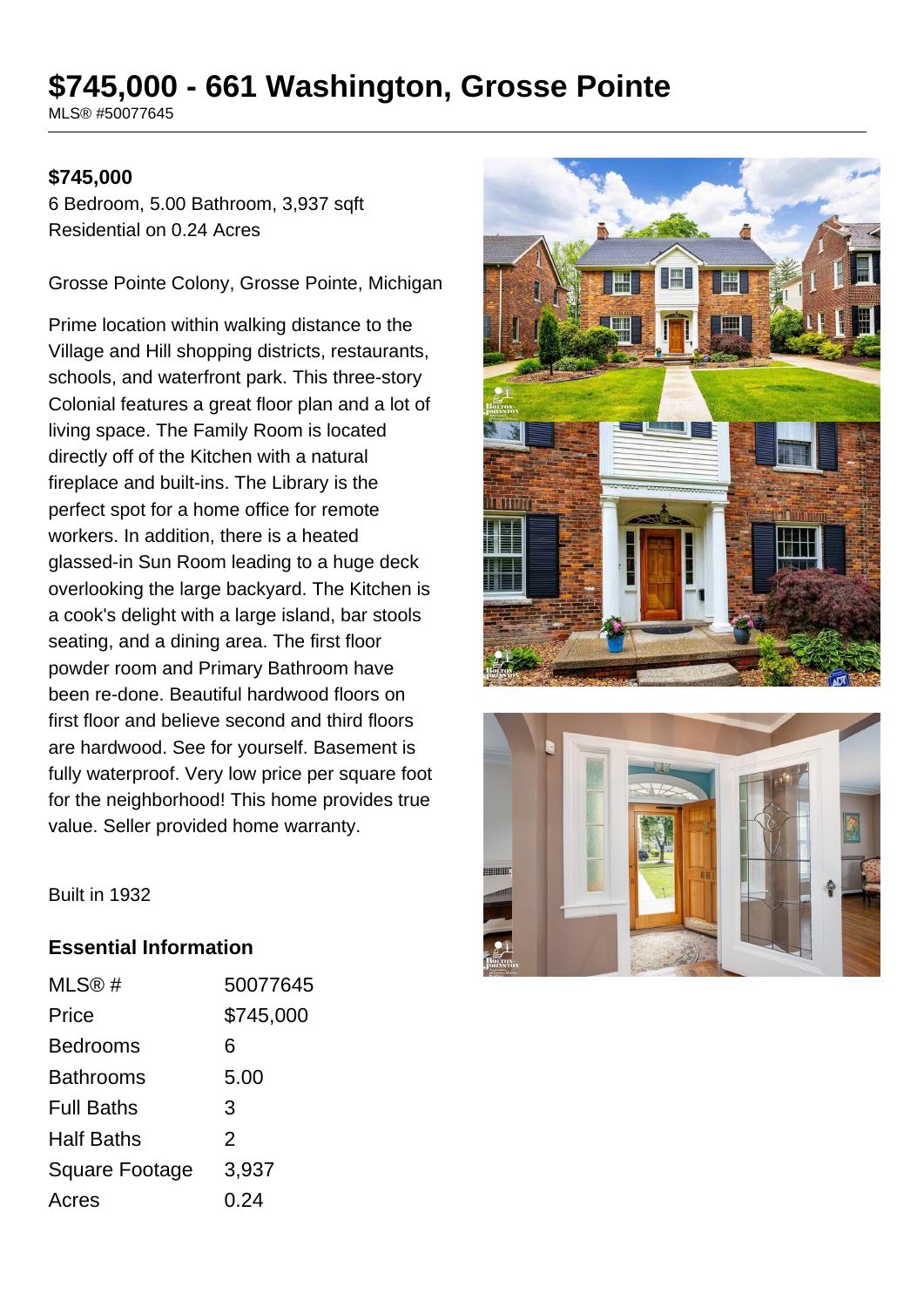# **\$745,000 - 661 Washington, Grosse Pointe**

MLS® #50077645

#### **\$745,000**

6 Bedroom, 5.00 Bathroom, 3,937 sqft Residential on 0.24 Acres

Grosse Pointe Colony, Grosse Pointe, Michigan

Prime location within walking distance to the Village and Hill shopping districts, restaurants, schools, and waterfront park. This three-story Colonial features a great floor plan and a lot of living space. The Family Room is located directly off of the Kitchen with a natural fireplace and built-ins. The Library is the perfect spot for a home office for remote workers. In addition, there is a heated glassed-in Sun Room leading to a huge deck overlooking the large backyard. The Kitchen is a cook's delight with a large island, bar stools seating, and a dining area. The first floor powder room and Primary Bathroom have been re-done. Beautiful hardwood floors on first floor and believe second and third floors are hardwood. See for yourself. Basement is fully waterproof. Very low price per square foot for the neighborhood! This home provides true value. Seller provided home warranty.





Built in 1932

#### **Essential Information**

| MLS@#                 | 50077645  |
|-----------------------|-----------|
| Price                 | \$745,000 |
| <b>Bedrooms</b>       | 6         |
| Bathrooms             | 5.00      |
| <b>Full Baths</b>     | 3         |
| <b>Half Baths</b>     | 2         |
| <b>Square Footage</b> | 3,937     |
| Acres                 | 0.24      |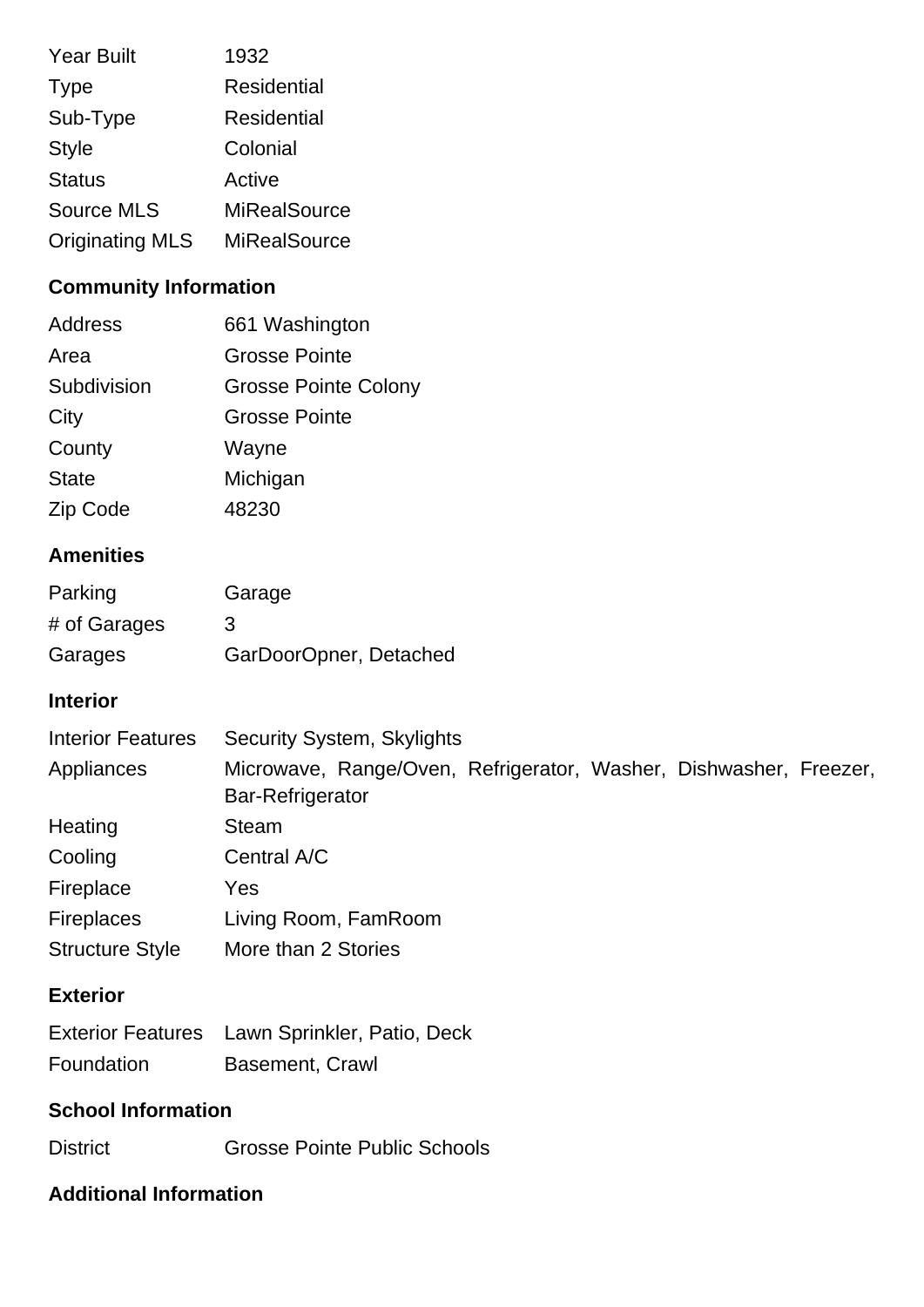| <b>Year Built</b>      | 1932                |
|------------------------|---------------------|
| <b>Type</b>            | <b>Residential</b>  |
| Sub-Type               | <b>Residential</b>  |
| <b>Style</b>           | Colonial            |
| <b>Status</b>          | Active              |
| <b>Source MLS</b>      | <b>MiRealSource</b> |
| <b>Originating MLS</b> | <b>MiRealSource</b> |

# **Community Information**

| Address      | 661 Washington              |
|--------------|-----------------------------|
| Area         | <b>Grosse Pointe</b>        |
| Subdivision  | <b>Grosse Pointe Colony</b> |
| City         | <b>Grosse Pointe</b>        |
| County       | Wayne                       |
| <b>State</b> | Michigan                    |
| Zip Code     | 48230                       |

# **Amenities**

| Parking      | Garage                 |
|--------------|------------------------|
| # of Garages | 3                      |
| Garages      | GarDoorOpner, Detached |

# **Interior**

| <b>Interior Features</b> | <b>Security System, Skylights</b>                                                            |
|--------------------------|----------------------------------------------------------------------------------------------|
| Appliances               | Microwave, Range/Oven, Refrigerator, Washer, Dishwasher, Freezer,<br><b>Bar-Refrigerator</b> |
| Heating                  | Steam                                                                                        |
| Cooling                  | Central A/C                                                                                  |
| Fireplace                | Yes                                                                                          |
| <b>Fireplaces</b>        | Living Room, FamRoom                                                                         |
| <b>Structure Style</b>   | More than 2 Stories                                                                          |

### **Exterior**

|            | Exterior Features Lawn Sprinkler, Patio, Deck |
|------------|-----------------------------------------------|
| Foundation | Basement, Crawl                               |

# **School Information**

District Grosse Pointe Public Schools

# **Additional Information**